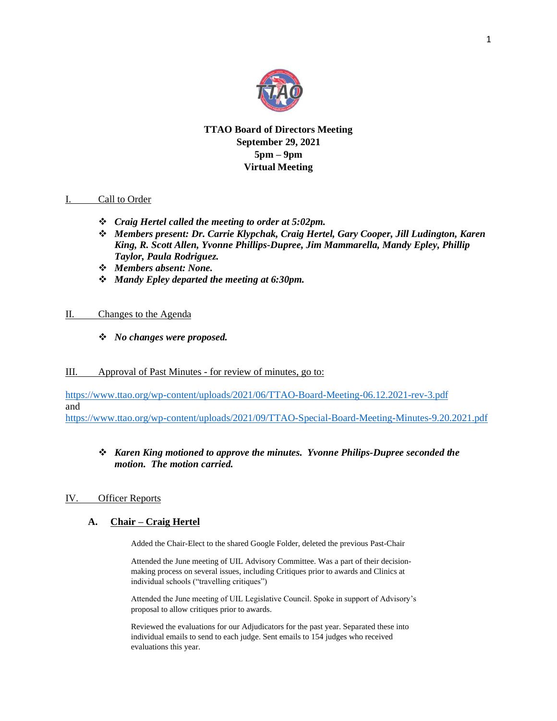

# **TTAO Board of Directors Meeting September 29, 2021 5pm – 9pm Virtual Meeting**

### I. Call to Order

- ❖ *Craig Hertel called the meeting to order at 5:02pm.*
- ❖ *Members present: Dr. Carrie Klypchak, Craig Hertel, Gary Cooper, Jill Ludington, Karen King, R. Scott Allen, Yvonne Phillips-Dupree, Jim Mammarella, Mandy Epley, Phillip Taylor, Paula Rodriguez.*
- ❖ *Members absent: None.*
- ❖ *Mandy Epley departed the meeting at 6:30pm.*

### II. Changes to the Agenda

❖ *No changes were proposed.*

### III. Approval of Past Minutes - for review of minutes, go to:

<https://www.ttao.org/wp-content/uploads/2021/06/TTAO-Board-Meeting-06.12.2021-rev-3.pdf> and <https://www.ttao.org/wp-content/uploads/2021/09/TTAO-Special-Board-Meeting-Minutes-9.20.2021.pdf>

### ❖ *Karen King motioned to approve the minutes. Yvonne Philips-Dupree seconded the motion. The motion carried.*

### IV. Officer Reports

### **A. Chair – Craig Hertel**

Added the Chair-Elect to the shared Google Folder, deleted the previous Past-Chair

Attended the June meeting of UIL Advisory Committee. Was a part of their decisionmaking process on several issues, including Critiques prior to awards and Clinics at individual schools ("travelling critiques")

Attended the June meeting of UIL Legislative Council. Spoke in support of Advisory's proposal to allow critiques prior to awards.

Reviewed the evaluations for our Adjudicators for the past year. Separated these into individual emails to send to each judge. Sent emails to 154 judges who received evaluations this year.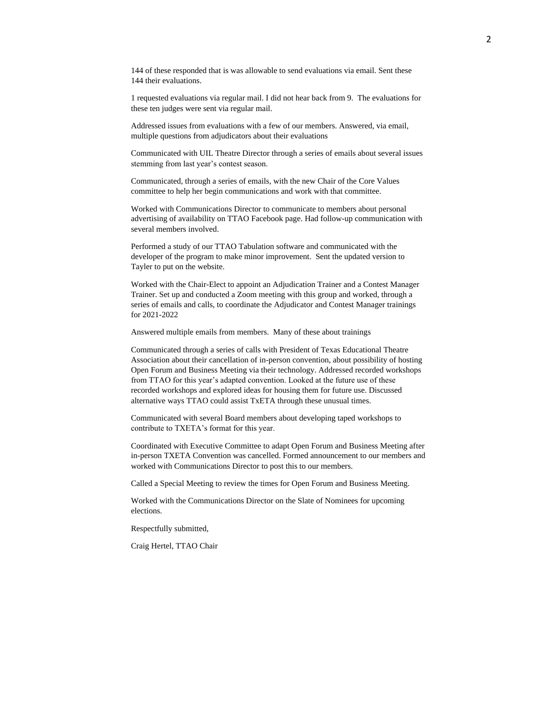144 of these responded that is was allowable to send evaluations via email. Sent these 144 their evaluations.

1 requested evaluations via regular mail. I did not hear back from 9. The evaluations for these ten judges were sent via regular mail.

Addressed issues from evaluations with a few of our members. Answered, via email, multiple questions from adjudicators about their evaluations

Communicated with UIL Theatre Director through a series of emails about several issues stemming from last year's contest season.

Communicated, through a series of emails, with the new Chair of the Core Values committee to help her begin communications and work with that committee.

Worked with Communications Director to communicate to members about personal advertising of availability on TTAO Facebook page. Had follow-up communication with several members involved.

Performed a study of our TTAO Tabulation software and communicated with the developer of the program to make minor improvement. Sent the updated version to Tayler to put on the website.

Worked with the Chair-Elect to appoint an Adjudication Trainer and a Contest Manager Trainer. Set up and conducted a Zoom meeting with this group and worked, through a series of emails and calls, to coordinate the Adjudicator and Contest Manager trainings for 2021-2022

Answered multiple emails from members. Many of these about trainings

Communicated through a series of calls with President of Texas Educational Theatre Association about their cancellation of in-person convention, about possibility of hosting Open Forum and Business Meeting via their technology. Addressed recorded workshops from TTAO for this year's adapted convention. Looked at the future use of these recorded workshops and explored ideas for housing them for future use. Discussed alternative ways TTAO could assist TxETA through these unusual times.

Communicated with several Board members about developing taped workshops to contribute to TXETA's format for this year.

Coordinated with Executive Committee to adapt Open Forum and Business Meeting after in-person TXETA Convention was cancelled. Formed announcement to our members and worked with Communications Director to post this to our members.

Called a Special Meeting to review the times for Open Forum and Business Meeting.

Worked with the Communications Director on the Slate of Nominees for upcoming elections.

Respectfully submitted,

Craig Hertel, TTAO Chair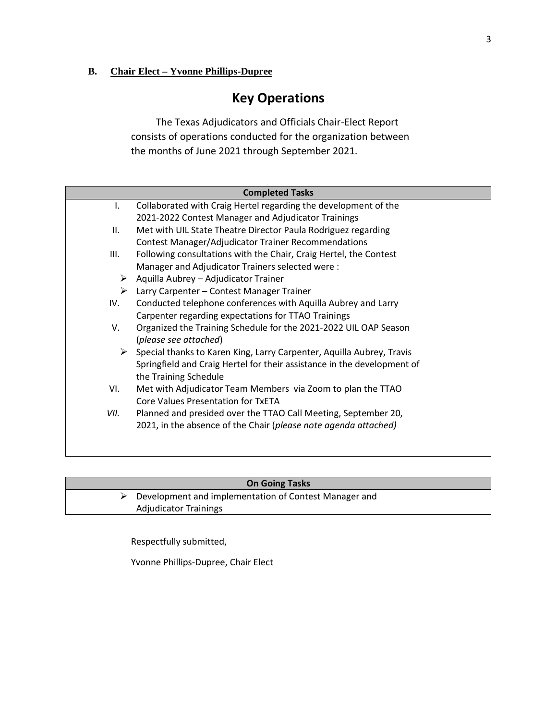# **B. Chair Elect – Yvonne Phillips-Dupree**

# **Key Operations**

The Texas Adjudicators and Officials Chair-Elect Report consists of operations conducted for the organization between the months of June 2021 through September 2021.

|      | <b>Completed Tasks</b>                                                  |
|------|-------------------------------------------------------------------------|
| I.   | Collaborated with Craig Hertel regarding the development of the         |
|      | 2021-2022 Contest Manager and Adjudicator Trainings                     |
| II.  | Met with UIL State Theatre Director Paula Rodriguez regarding           |
|      | <b>Contest Manager/Adjudicator Trainer Recommendations</b>              |
| III. | Following consultations with the Chair, Craig Hertel, the Contest       |
|      | Manager and Adjudicator Trainers selected were:                         |
| ➤    | Aquilla Aubrey - Adjudicator Trainer                                    |
| ➤    | Larry Carpenter - Contest Manager Trainer                               |
| IV.  | Conducted telephone conferences with Aquilla Aubrey and Larry           |
|      | Carpenter regarding expectations for TTAO Trainings                     |
| V.   | Organized the Training Schedule for the 2021-2022 UIL OAP Season        |
|      | (please see attached)                                                   |
| ➤    | Special thanks to Karen King, Larry Carpenter, Aquilla Aubrey, Travis   |
|      | Springfield and Craig Hertel for their assistance in the development of |
|      | the Training Schedule                                                   |
| VI.  | Met with Adjudicator Team Members via Zoom to plan the TTAO             |
|      | <b>Core Values Presentation for TxETA</b>                               |
| VII. | Planned and presided over the TTAO Call Meeting, September 20,          |
|      | 2021, in the absence of the Chair (please note agenda attached)         |
|      |                                                                         |
|      |                                                                         |

| <b>On Going Tasks</b> |                                                                        |  |  |
|-----------------------|------------------------------------------------------------------------|--|--|
|                       | $\triangleright$ Development and implementation of Contest Manager and |  |  |
|                       | <b>Adjudicator Trainings</b>                                           |  |  |

Respectfully submitted,

Yvonne Phillips-Dupree, Chair Elect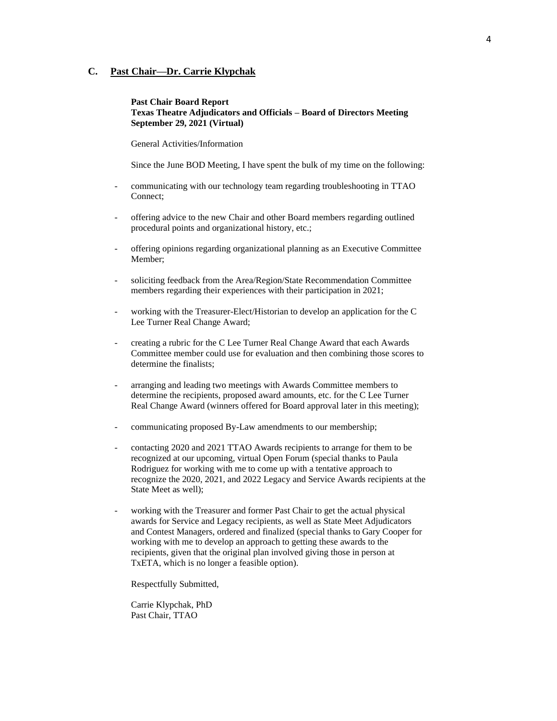### **C. Past Chair—Dr. Carrie Klypchak**

### **Past Chair Board Report Texas Theatre Adjudicators and Officials – Board of Directors Meeting September 29, 2021 (Virtual)**

General Activities/Information

Since the June BOD Meeting, I have spent the bulk of my time on the following:

- communicating with our technology team regarding troubleshooting in TTAO Connect;
- offering advice to the new Chair and other Board members regarding outlined procedural points and organizational history, etc.;
- offering opinions regarding organizational planning as an Executive Committee Member;
- soliciting feedback from the Area/Region/State Recommendation Committee members regarding their experiences with their participation in 2021;
- working with the Treasurer-Elect/Historian to develop an application for the C Lee Turner Real Change Award;
- creating a rubric for the C Lee Turner Real Change Award that each Awards Committee member could use for evaluation and then combining those scores to determine the finalists;
- arranging and leading two meetings with Awards Committee members to determine the recipients, proposed award amounts, etc. for the C Lee Turner Real Change Award (winners offered for Board approval later in this meeting);
- communicating proposed By-Law amendments to our membership;
- contacting 2020 and 2021 TTAO Awards recipients to arrange for them to be recognized at our upcoming, virtual Open Forum (special thanks to Paula Rodriguez for working with me to come up with a tentative approach to recognize the 2020, 2021, and 2022 Legacy and Service Awards recipients at the State Meet as well);
- working with the Treasurer and former Past Chair to get the actual physical awards for Service and Legacy recipients, as well as State Meet Adjudicators and Contest Managers, ordered and finalized (special thanks to Gary Cooper for working with me to develop an approach to getting these awards to the recipients, given that the original plan involved giving those in person at TxETA, which is no longer a feasible option).

Respectfully Submitted,

Carrie Klypchak, PhD Past Chair, TTAO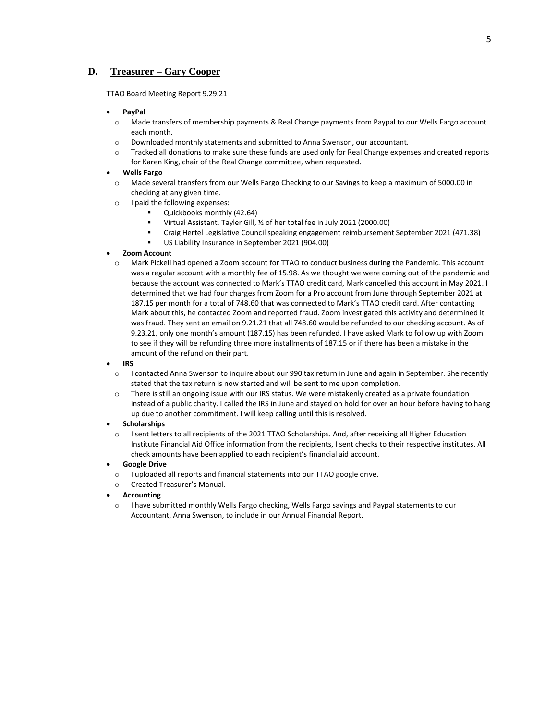### **D. Treasurer – Gary Cooper**

TTAO Board Meeting Report 9.29.21

#### • **PayPal**

- o Made transfers of membership payments & Real Change payments from Paypal to our Wells Fargo account each month.
- o Downloaded monthly statements and submitted to Anna Swenson, our accountant.
- o Tracked all donations to make sure these funds are used only for Real Change expenses and created reports for Karen King, chair of the Real Change committee, when requested.

#### • **Wells Fargo**

- o Made several transfers from our Wells Fargo Checking to our Savings to keep a maximum of 5000.00 in checking at any given time.
- o I paid the following expenses:
	- Quickbooks monthly (42.64)
	- Virtual Assistant, Tayler Gill, 1/2 of her total fee in July 2021 (2000.00)
	- Craig Hertel Legislative Council speaking engagement reimbursement September 2021 (471.38)
	- US Liability Insurance in September 2021 (904.00)

#### • **Zoom Account**

o Mark Pickell had opened a Zoom account for TTAO to conduct business during the Pandemic. This account was a regular account with a monthly fee of 15.98. As we thought we were coming out of the pandemic and because the account was connected to Mark's TTAO credit card, Mark cancelled this account in May 2021. I determined that we had four charges from Zoom for a Pro account from June through September 2021 at 187.15 per month for a total of 748.60 that was connected to Mark's TTAO credit card. After contacting Mark about this, he contacted Zoom and reported fraud. Zoom investigated this activity and determined it was fraud. They sent an email on 9.21.21 that all 748.60 would be refunded to our checking account. As of 9.23.21, only one month's amount (187.15) has been refunded. I have asked Mark to follow up with Zoom to see if they will be refunding three more installments of 187.15 or if there has been a mistake in the amount of the refund on their part.

#### • **IRS**

- o I contacted Anna Swenson to inquire about our 990 tax return in June and again in September. She recently stated that the tax return is now started and will be sent to me upon completion.
- o There is still an ongoing issue with our IRS status. We were mistakenly created as a private foundation instead of a public charity. I called the IRS in June and stayed on hold for over an hour before having to hang up due to another commitment. I will keep calling until this is resolved.

#### • **Scholarships**

o I sent letters to all recipients of the 2021 TTAO Scholarships. And, after receiving all Higher Education Institute Financial Aid Office information from the recipients, I sent checks to their respective institutes. All check amounts have been applied to each recipient's financial aid account.

#### • **Google Drive**

- o I uploaded all reports and financial statements into our TTAO google drive.
- o Created Treasurer's Manual.

#### • **Accounting**

o I have submitted monthly Wells Fargo checking, Wells Fargo savings and Paypal statements to our Accountant, Anna Swenson, to include in our Annual Financial Report.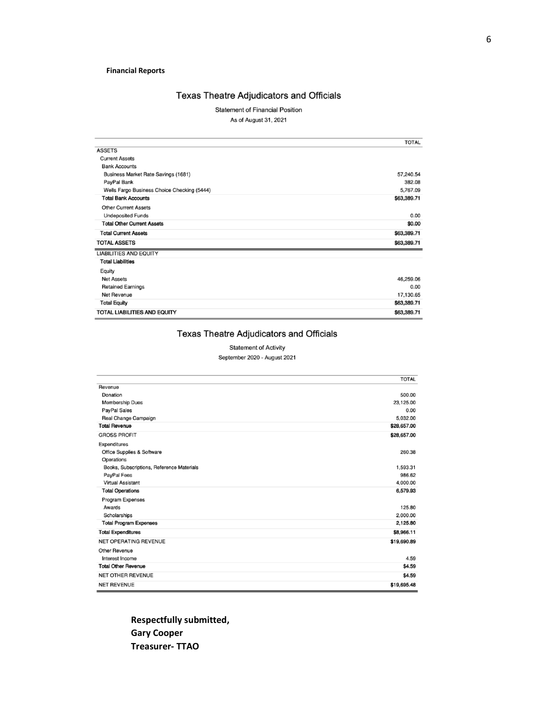### **Financial Reports**

### Texas Theatre Adjudicators and Officials

**Statement of Financial Position** 

As of August 31, 2021

|                                             | <b>TOTAL</b> |
|---------------------------------------------|--------------|
| <b>ASSETS</b>                               |              |
| <b>Current Assets</b>                       |              |
| <b>Bank Accounts</b>                        |              |
| <b>Business Market Rate Savings (1681)</b>  | 57,240.54    |
| PayPal Bank                                 | 382.08       |
| Wells Fargo Business Choice Checking (5444) | 5,767.09     |
| <b>Total Bank Accounts</b>                  | \$63,389.71  |
| <b>Other Current Assets</b>                 |              |
| <b>Undeposited Funds</b>                    | 0.00         |
| <b>Total Other Current Assets</b>           | \$0.00       |
| <b>Total Current Assets</b>                 | \$63,389.71  |
| <b>TOTAL ASSETS</b>                         | \$63,389.71  |
| <b>LIABILITIES AND EQUITY</b>               |              |
| <b>Total Liabilities</b>                    |              |
| Equity                                      |              |
| <b>Net Assets</b>                           | 46,259.06    |
| <b>Retained Earnings</b>                    | 0.00         |
| Net Revenue                                 | 17,130.65    |
| <b>Total Equity</b>                         | \$63,389.71  |
| <b>TOTAL LIABILITIES AND EQUITY</b>         | \$63,389.71  |

# Texas Theatre Adjudicators and Officials

### **Statement of Activity**

September 2020 - August 2021

|                                           | <b>TOTAL</b> |
|-------------------------------------------|--------------|
| Revenue                                   |              |
| Donation                                  | 500.00       |
| <b>Membership Dues</b>                    | 23,125.00    |
| PayPal Sales                              | 0.00         |
| Real Change Campaign                      | 5.032.00     |
| <b>Total Revenue</b>                      | \$28,657.00  |
| <b>GROSS PROFIT</b>                       | \$28,657.00  |
| Expenditures                              |              |
| Office Supplies & Software                | 260.38       |
| Operations                                |              |
| Books, Subscriptions, Reference Materials | 1,593.31     |
| PayPal Fees                               | 986.62       |
| <b>Virtual Assistant</b>                  | 4,000.00     |
| <b>Total Operations</b>                   | 6,579.93     |
| Program Expenses                          |              |
| Awards                                    | 125.80       |
| Scholarships                              | 2,000.00     |
| <b>Total Program Expenses</b>             | 2,125.80     |
| <b>Total Expenditures</b>                 | \$8,966.11   |
| <b>NET OPERATING REVENUE</b>              | \$19,690.89  |
| Other Revenue                             |              |
| Interest Income                           | 4.59         |
| <b>Total Other Revenue</b>                | \$4.59       |
| <b>NET OTHER REVENUE</b>                  | \$4.59       |
| <b>NET REVENUE</b>                        | \$19,695.48  |

**Respectfully submitted, Gary Cooper Treasurer- TTAO**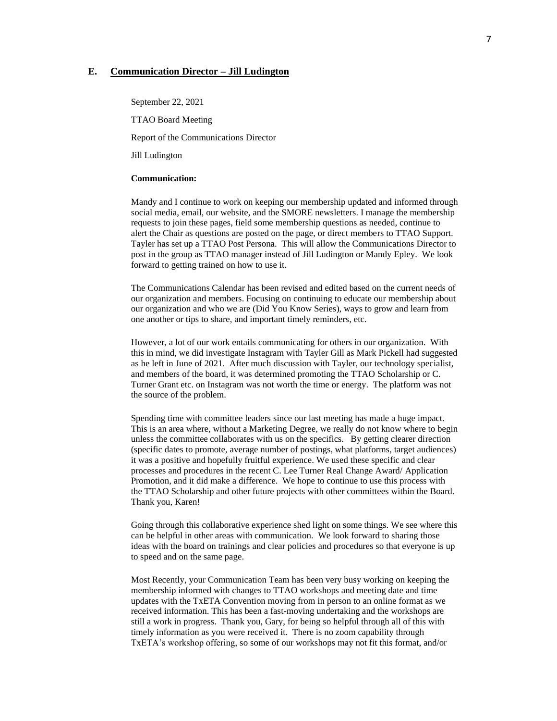### **E. Communication Director – Jill Ludington**

September 22, 2021 TTAO Board Meeting Report of the Communications Director Jill Ludington

#### **Communication:**

Mandy and I continue to work on keeping our membership updated and informed through social media, email, our website, and the SMORE newsletters. I manage the membership requests to join these pages, field some membership questions as needed, continue to alert the Chair as questions are posted on the page, or direct members to TTAO Support. Tayler has set up a TTAO Post Persona. This will allow the Communications Director to post in the group as TTAO manager instead of Jill Ludington or Mandy Epley. We look forward to getting trained on how to use it.

The Communications Calendar has been revised and edited based on the current needs of our organization and members. Focusing on continuing to educate our membership about our organization and who we are (Did You Know Series), ways to grow and learn from one another or tips to share, and important timely reminders, etc.

However, a lot of our work entails communicating for others in our organization. With this in mind, we did investigate Instagram with Tayler Gill as Mark Pickell had suggested as he left in June of 2021. After much discussion with Tayler, our technology specialist, and members of the board, it was determined promoting the TTAO Scholarship or C. Turner Grant etc. on Instagram was not worth the time or energy. The platform was not the source of the problem.

Spending time with committee leaders since our last meeting has made a huge impact. This is an area where, without a Marketing Degree, we really do not know where to begin unless the committee collaborates with us on the specifics. By getting clearer direction (specific dates to promote, average number of postings, what platforms, target audiences) it was a positive and hopefully fruitful experience. We used these specific and clear processes and procedures in the recent C. Lee Turner Real Change Award/ Application Promotion, and it did make a difference. We hope to continue to use this process with the TTAO Scholarship and other future projects with other committees within the Board. Thank you, Karen!

Going through this collaborative experience shed light on some things. We see where this can be helpful in other areas with communication. We look forward to sharing those ideas with the board on trainings and clear policies and procedures so that everyone is up to speed and on the same page.

Most Recently, your Communication Team has been very busy working on keeping the membership informed with changes to TTAO workshops and meeting date and time updates with the TxETA Convention moving from in person to an online format as we received information. This has been a fast-moving undertaking and the workshops are still a work in progress. Thank you, Gary, for being so helpful through all of this with timely information as you were received it. There is no zoom capability through TxETA's workshop offering, so some of our workshops may not fit this format, and/or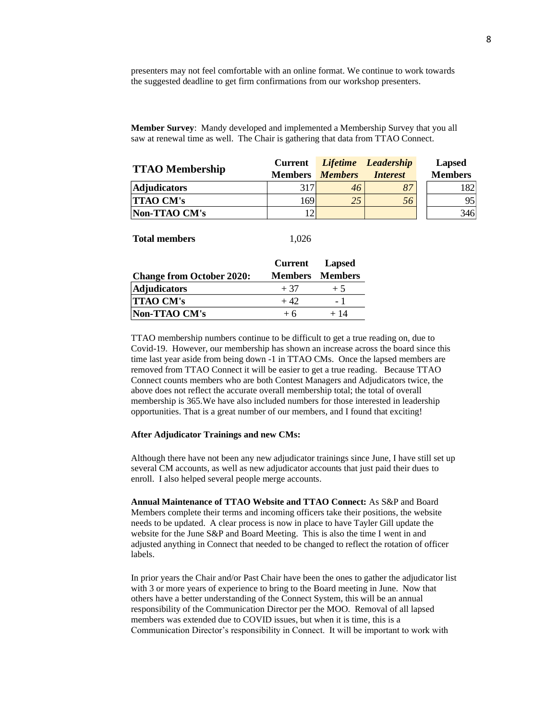presenters may not feel comfortable with an online format. We continue to work towards the suggested deadline to get firm confirmations from our workshop presenters.

**Member Survey**: Mandy developed and implemented a Membership Survey that you all saw at renewal time as well. The Chair is gathering that data from TTAO Connect.

|                        | <b>Current</b> |                | Lifetime Leadership | <b>Lapsed</b>  |
|------------------------|----------------|----------------|---------------------|----------------|
| <b>TTAO Membership</b> | <b>Members</b> | <b>Members</b> | <i>Interest</i>     | <b>Members</b> |
| <b>Adjudicators</b>    | 317            | 46             | 87                  | 182            |
| <b>TTAO CM's</b>       | 169            | 25             | 56                  | 95             |
| Non-TTAO CM's          |                |                |                     | 346            |

#### **Total members** 1,026

|                                  | <b>Current</b> Lapsed |                        |
|----------------------------------|-----------------------|------------------------|
| <b>Change from October 2020:</b> |                       | <b>Members</b> Members |
| <b>Adjudicators</b>              | $+37$                 | $+5$                   |
| <b>TTAO CM's</b>                 | $+42.$                | - 1                    |
| Non-TTAO CM's                    | $+6$                  | $+14$                  |

TTAO membership numbers continue to be difficult to get a true reading on, due to Covid-19. However, our membership has shown an increase across the board since this time last year aside from being down -1 in TTAO CMs. Once the lapsed members are removed from TTAO Connect it will be easier to get a true reading. Because TTAO Connect counts members who are both Contest Managers and Adjudicators twice, the above does not reflect the accurate overall membership total; the total of overall membership is 365.We have also included numbers for those interested in leadership opportunities. That is a great number of our members, and I found that exciting!

#### **After Adjudicator Trainings and new CMs:**

Although there have not been any new adjudicator trainings since June, I have still set up several CM accounts, as well as new adjudicator accounts that just paid their dues to enroll. I also helped several people merge accounts.

**Annual Maintenance of TTAO Website and TTAO Connect:** As S&P and Board Members complete their terms and incoming officers take their positions, the website needs to be updated. A clear process is now in place to have Tayler Gill update the website for the June S&P and Board Meeting. This is also the time I went in and adjusted anything in Connect that needed to be changed to reflect the rotation of officer labels.

In prior years the Chair and/or Past Chair have been the ones to gather the adjudicator list with 3 or more years of experience to bring to the Board meeting in June. Now that others have a better understanding of the Connect System, this will be an annual responsibility of the Communication Director per the MOO. Removal of all lapsed members was extended due to COVID issues, but when it is time, this is a Communication Director's responsibility in Connect. It will be important to work with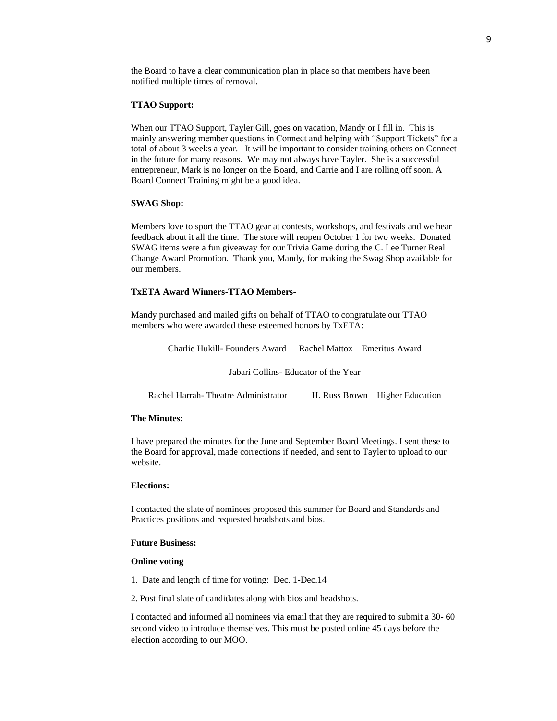the Board to have a clear communication plan in place so that members have been notified multiple times of removal.

#### **TTAO Support:**

When our TTAO Support, Tayler Gill, goes on vacation, Mandy or I fill in. This is mainly answering member questions in Connect and helping with "Support Tickets" for a total of about 3 weeks a year. It will be important to consider training others on Connect in the future for many reasons. We may not always have Tayler. She is a successful entrepreneur, Mark is no longer on the Board, and Carrie and I are rolling off soon. A Board Connect Training might be a good idea.

#### **SWAG Shop:**

Members love to sport the TTAO gear at contests, workshops, and festivals and we hear feedback about it all the time. The store will reopen October 1 for two weeks. Donated SWAG items were a fun giveaway for our Trivia Game during the C. Lee Turner Real Change Award Promotion. Thank you, Mandy, for making the Swag Shop available for our members.

#### **TxETA Award Winners-TTAO Members-**

Mandy purchased and mailed gifts on behalf of TTAO to congratulate our TTAO members who were awarded these esteemed honors by TxETA:

Charlie Hukill- Founders Award Rachel Mattox – Emeritus Award

Jabari Collins- Educator of the Year

| Rachel Harrah - Theatre Administrator |  | H. Russ Brown – Higher Education |
|---------------------------------------|--|----------------------------------|
|---------------------------------------|--|----------------------------------|

#### **The Minutes:**

I have prepared the minutes for the June and September Board Meetings. I sent these to the Board for approval, made corrections if needed, and sent to Tayler to upload to our website.

### **Elections:**

I contacted the slate of nominees proposed this summer for Board and Standards and Practices positions and requested headshots and bios.  

#### **Future Business:**

#### **Online voting**

- 1. Date and length of time for voting: Dec. 1-Dec.14
- 2. Post final slate of candidates along with bios and headshots.

I contacted and informed all nominees via email that they are required to submit a 30- 60 second video to introduce themselves. This must be posted online 45 days before the election according to our MOO.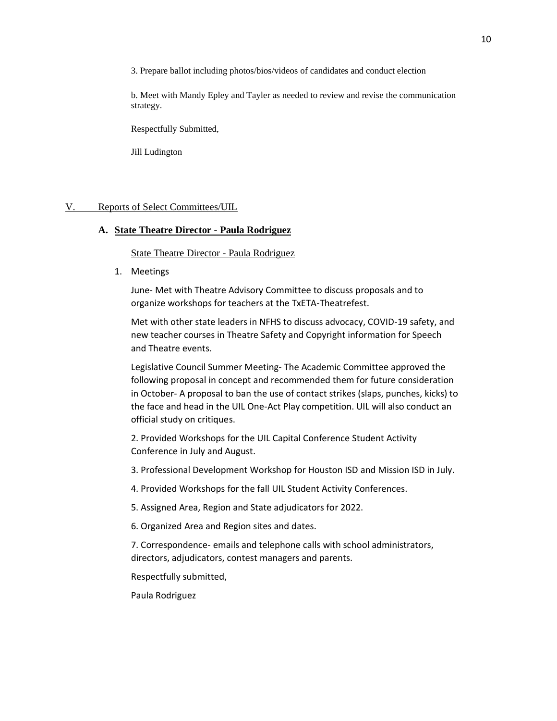3. Prepare ballot including photos/bios/videos of candidates and conduct election

b. Meet with Mandy Epley and Tayler as needed to review and revise the communication strategy.

Respectfully Submitted,

Jill Ludington

### V. Reports of Select Committees/UIL

### **A. State Theatre Director - Paula Rodriguez**

State Theatre Director - Paula Rodriguez

1. Meetings

June- Met with Theatre Advisory Committee to discuss proposals and to organize workshops for teachers at the TxETA-Theatrefest.

Met with other state leaders in NFHS to discuss advocacy, COVID-19 safety, and new teacher courses in Theatre Safety and Copyright information for Speech and Theatre events.

Legislative Council Summer Meeting- The Academic Committee approved the following proposal in concept and recommended them for future consideration in October- A proposal to ban the use of contact strikes (slaps, punches, kicks) to the face and head in the UIL One-Act Play competition. UIL will also conduct an official study on critiques.

2. Provided Workshops for the UIL Capital Conference Student Activity Conference in July and August.

3. Professional Development Workshop for Houston ISD and Mission ISD in July.

4. Provided Workshops for the fall UIL Student Activity Conferences.

5. Assigned Area, Region and State adjudicators for 2022.

6. Organized Area and Region sites and dates.

7. Correspondence- emails and telephone calls with school administrators, directors, adjudicators, contest managers and parents.

Respectfully submitted,

Paula Rodriguez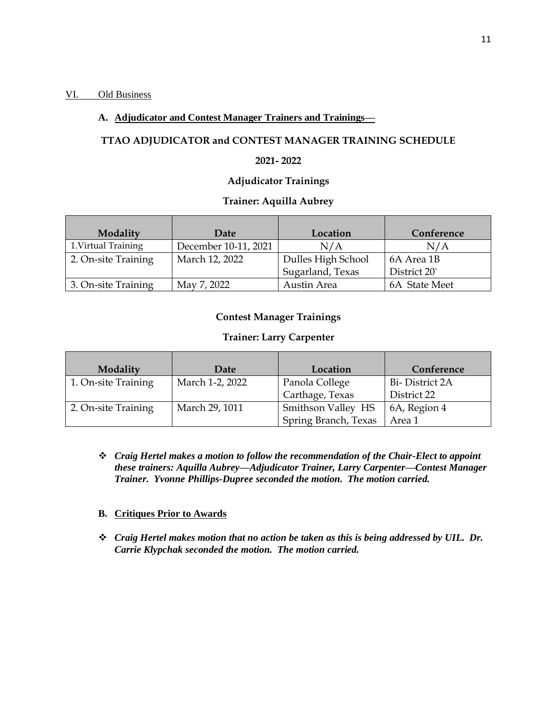### VI. Old Business

### **A. Adjudicator and Contest Manager Trainers and Trainings—**

# **TTAO ADJUDICATOR and CONTEST MANAGER TRAINING SCHEDULE**

### **2021- 2022**

## **Adjudicator Trainings**

### **Trainer: Aquilla Aubrey**

| Modality            | Date                 | Location           | Conference    |
|---------------------|----------------------|--------------------|---------------|
| 1. Virtual Training | December 10-11, 2021 | N/A                | N/A           |
| 2. On-site Training | March 12, 2022       | Dulles High School | 6A Area 1B    |
|                     |                      | Sugarland, Texas   | District 20   |
| 3. On-site Training | May 7, 2022          | Austin Area        | 6A State Meet |

### **Contest Manager Trainings**

### **Trainer: Larry Carpenter**

| Modality            | Date            | Location             | Conference     |
|---------------------|-----------------|----------------------|----------------|
| 1. On-site Training | March 1-2, 2022 | Panola College       | Bi-District 2A |
|                     |                 | Carthage, Texas      | District 22    |
| 2. On-site Training | March 29, 1011  | Smithson Valley HS   | 6A, Region 4   |
|                     |                 | Spring Branch, Texas | Area 1         |

❖ *Craig Hertel makes a motion to follow the recommendation of the Chair-Elect to appoint these trainers: Aquilla Aubrey—Adjudicator Trainer, Larry Carpenter—Contest Manager Trainer. Yvonne Phillips-Dupree seconded the motion. The motion carried.*

### **B. Critiques Prior to Awards**

❖ *Craig Hertel makes motion that no action be taken as this is being addressed by UIL. Dr. Carrie Klypchak seconded the motion. The motion carried.*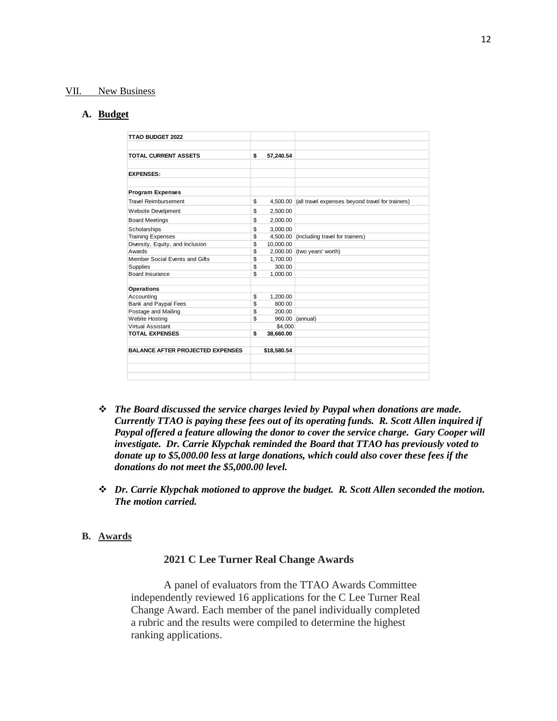### VII. New Business

#### **A. Budget**

| TTAO BUDGET 2022                        |                 |                                                           |
|-----------------------------------------|-----------------|-----------------------------------------------------------|
| <b>TOTAL CURRENT ASSETS</b>             | \$<br>57,240.54 |                                                           |
| <b>EXPENSES:</b>                        |                 |                                                           |
| <b>Program Expenses</b>                 |                 |                                                           |
| <b>Travel Reimbursement</b>             | \$              | 4,500.00 (all travel expenses beyond travel for trainers) |
| Website Develpment                      | \$<br>2,500.00  |                                                           |
| <b>Board Meetings</b>                   | \$<br>2,000.00  |                                                           |
| Scholarships                            | \$<br>3.000.00  |                                                           |
| <b>Training Expenses</b>                | \$<br>4,500.00  | (including travel for trainers)                           |
| Diversity, Equity, and Inclusion        | \$<br>10,000.00 |                                                           |
| Awards                                  | \$<br>2,000.00  | (two years' worth)                                        |
| Member Social Events and Gifts          | \$<br>1.700.00  |                                                           |
| Supplies                                | \$<br>300.00    |                                                           |
| Board Insurance                         | \$<br>1,000.00  |                                                           |
| <b>Operations</b>                       |                 |                                                           |
| Accounting                              | \$<br>1,200.00  |                                                           |
| Bank and Paypal Fees                    | \$<br>800.00    |                                                           |
| Postage and Mailing                     | \$<br>200.00    |                                                           |
| Webite Hosting                          | \$<br>960.00    | (annual)                                                  |
| Virtual Assistant                       | \$4,000         |                                                           |
| <b>TOTAL EXPENSES</b>                   | \$<br>38,660.00 |                                                           |
| <b>BALANCE AFTER PROJECTED EXPENSES</b> | \$18,580.54     |                                                           |
|                                         |                 |                                                           |
|                                         |                 |                                                           |
|                                         |                 |                                                           |

- ❖ *The Board discussed the service charges levied by Paypal when donations are made. Currently TTAO is paying these fees out of its operating funds. R. Scott Allen inquired if Paypal offered a feature allowing the donor to cover the service charge. Gary Cooper will investigate. Dr. Carrie Klypchak reminded the Board that TTAO has previously voted to donate up to \$5,000.00 less at large donations, which could also cover these fees if the donations do not meet the \$5,000.00 level.*
- ❖ *Dr. Carrie Klypchak motioned to approve the budget. R. Scott Allen seconded the motion. The motion carried.*

### **B. Awards**

### **2021 C Lee Turner Real Change Awards**

A panel of evaluators from the TTAO Awards Committee independently reviewed 16 applications for the C Lee Turner Real Change Award. Each member of the panel individually completed a rubric and the results were compiled to determine the highest ranking applications.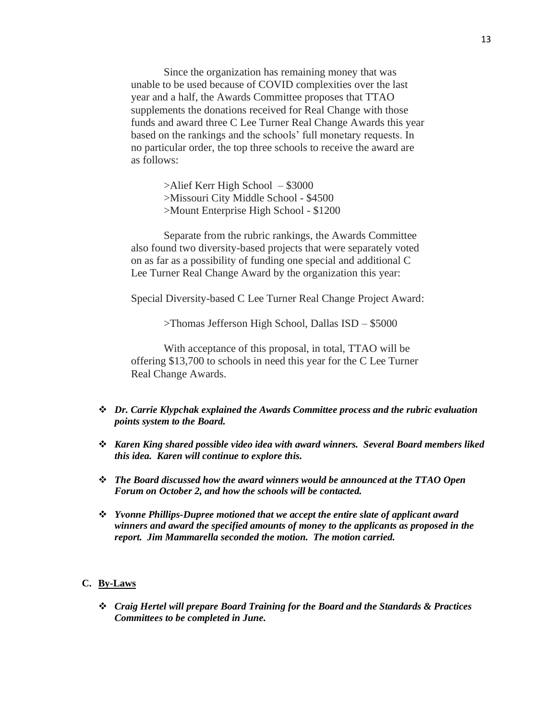Since the organization has remaining money that was unable to be used because of COVID complexities over the last year and a half, the Awards Committee proposes that TTAO supplements the donations received for Real Change with those funds and award three C Lee Turner Real Change Awards this year based on the rankings and the schools' full monetary requests. In no particular order, the top three schools to receive the award are as follows:

> >Alief Kerr High School – \$3000 >Missouri City Middle School - \$4500 >Mount Enterprise High School - \$1200

Separate from the rubric rankings, the Awards Committee also found two diversity-based projects that were separately voted on as far as a possibility of funding one special and additional C Lee Turner Real Change Award by the organization this year:

Special Diversity-based C Lee Turner Real Change Project Award:

>Thomas Jefferson High School, Dallas ISD – \$5000

With acceptance of this proposal, in total, TTAO will be offering \$13,700 to schools in need this year for the C Lee Turner Real Change Awards.

- ❖ *Dr. Carrie Klypchak explained the Awards Committee process and the rubric evaluation points system to the Board.*
- ❖ *Karen King shared possible video idea with award winners. Several Board members liked this idea. Karen will continue to explore this.*
- ❖ *The Board discussed how the award winners would be announced at the TTAO Open Forum on October 2, and how the schools will be contacted.*
- ❖ *Yvonne Phillips-Dupree motioned that we accept the entire slate of applicant award winners and award the specified amounts of money to the applicants as proposed in the report. Jim Mammarella seconded the motion. The motion carried.*

### **C. By-Laws**

❖ *Craig Hertel will prepare Board Training for the Board and the Standards & Practices Committees to be completed in June.*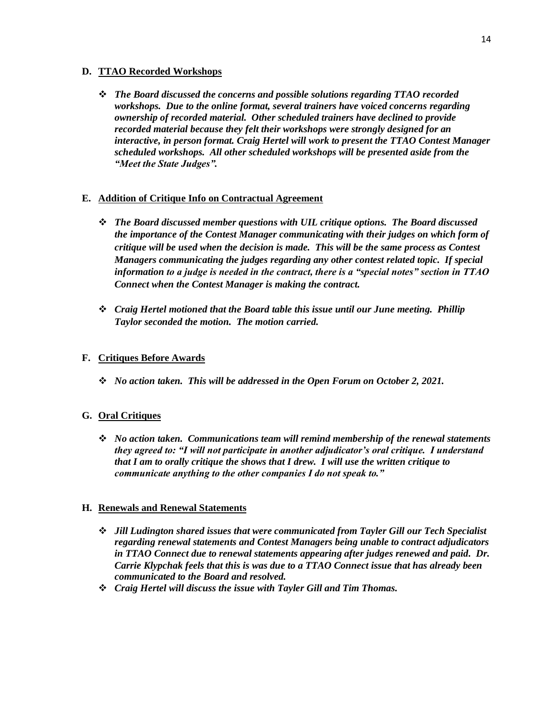### **D. TTAO Recorded Workshops**

❖ *The Board discussed the concerns and possible solutions regarding TTAO recorded workshops. Due to the online format, several trainers have voiced concerns regarding ownership of recorded material. Other scheduled trainers have declined to provide recorded material because they felt their workshops were strongly designed for an interactive, in person format. Craig Hertel will work to present the TTAO Contest Manager scheduled workshops. All other scheduled workshops will be presented aside from the "Meet the State Judges".* 

### **E. Addition of Critique Info on Contractual Agreement**

- ❖ *The Board discussed member questions with UIL critique options. The Board discussed the importance of the Contest Manager communicating with their judges on which form of critique will be used when the decision is made. This will be the same process as Contest Managers communicating the judges regarding any other contest related topic. If special information to a judge is needed in the contract, there is a "special notes" section in TTAO Connect when the Contest Manager is making the contract.*
- ❖ *Craig Hertel motioned that the Board table this issue until our June meeting. Phillip Taylor seconded the motion. The motion carried.*

### **F. Critiques Before Awards**

❖ *No action taken. This will be addressed in the Open Forum on October 2, 2021.*

# **G. Oral Critiques**

❖ *No action taken. Communications team will remind membership of the renewal statements they agreed to: "I will not participate in another adjudicator's oral critique. I understand that I am to orally critique the shows that I drew. I will use the written critique to communicate anything to the other companies I do not speak to."*

### **H. Renewals and Renewal Statements**

- ❖ *Jill Ludington shared issues that were communicated from Tayler Gill our Tech Specialist regarding renewal statements and Contest Managers being unable to contract adjudicators in TTAO Connect due to renewal statements appearing after judges renewed and paid. Dr. Carrie Klypchak feels that this is was due to a TTAO Connect issue that has already been communicated to the Board and resolved.*
- ❖ *Craig Hertel will discuss the issue with Tayler Gill and Tim Thomas.*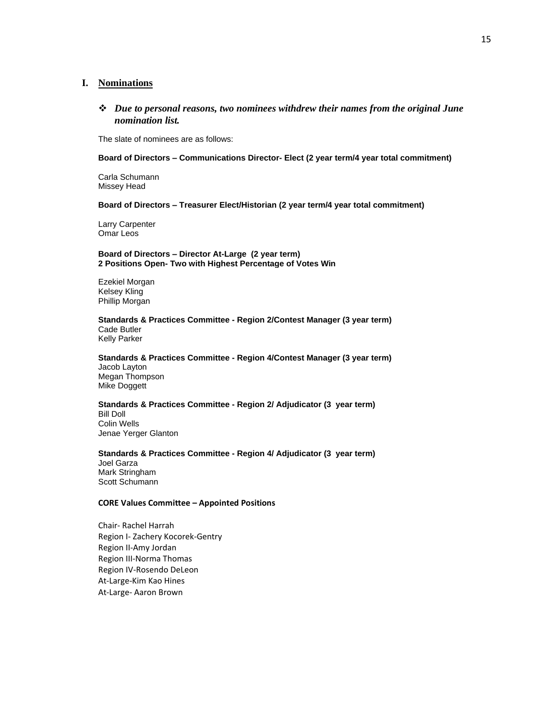### **I. Nominations**

❖ *Due to personal reasons, two nominees withdrew their names from the original June nomination list.* 

The slate of nominees are as follows:

#### **Board of Directors – Communications Director- Elect (2 year term/4 year total commitment)**

Carla Schumann Missey Head

#### **Board of Directors – Treasurer Elect/Historian (2 year term/4 year total commitment)**

Larry Carpenter Omar Leos

#### **Board of Directors – Director At-Large (2 year term) 2 Positions Open- Two with Highest Percentage of Votes Win**

Ezekiel Morgan Kelsey Kling Phillip Morgan

**Standards & Practices Committee - Region 2/Contest Manager (3 year term)** Cade Butler

Kelly Parker

#### **Standards & Practices Committee - Region 4/Contest Manager (3 year term)** Jacob Layton Megan Thompson Mike Doggett

### **Standards & Practices Committee - Region 2/ Adjudicator (3 year term)** Bill Doll Colin Wells

Jenae Yerger Glanton

### **Standards & Practices Committee - Region 4/ Adjudicator (3 year term)**

Joel Garza Mark Stringham Scott Schumann

#### **CORE Values Committee – Appointed Positions**

Chair- Rachel Harrah Region I- Zachery Kocorek-Gentry Region II-Amy Jordan Region III-Norma Thomas Region IV-Rosendo DeLeon At-Large-Kim Kao Hines At-Large- Aaron Brown